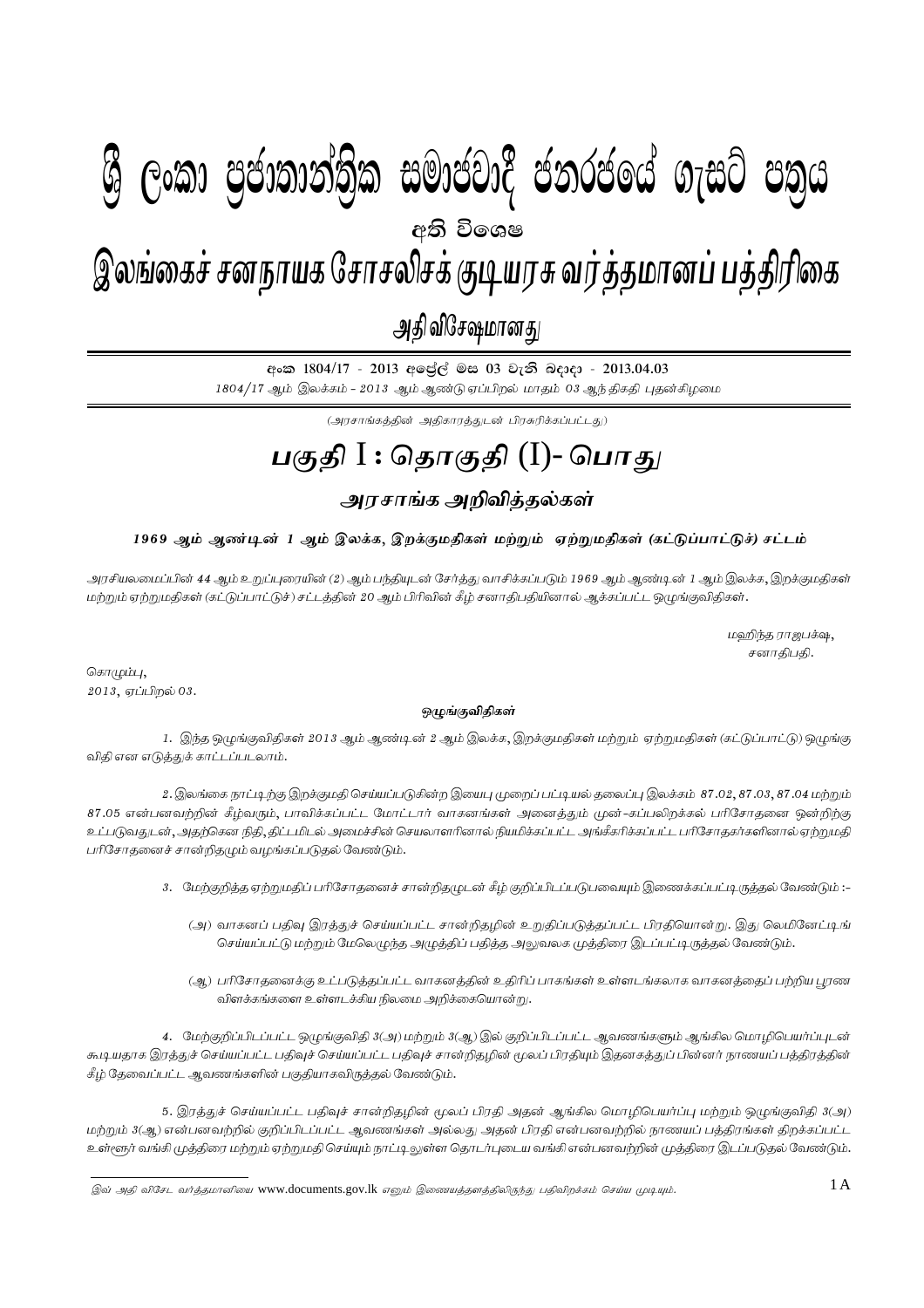# I **fldgi ( ^**I**& fPoh - Y S % ,xld m %cd;dk a; s %l iudcjd§ ckrcfh a w; s úfYI .eiÜ m; %h - 2013'04'03** 1A gFjp I : njhFjp (I) - ,yq;ifr; rdehaf Nrhryprf; FbauR tu;j;jkhdg; gj;jpupif - mjp tpNr\khdJ - 2013.04.03 ு உகை<br>இலங்கைச் சனநாயக சோசலிசக் குடியரசு வர்த்தமானப் பத்திரிகை அதி விசேஷமானது  $\mathcal{B}$  George Constanting)ක සමාප්තාර ප්නාර්ථිකය ගැසුර ප්නිෆ අති වි**ං**ශෂ

අංක 1804/17 - 2013 අලේල් මස 03 වැනි බදාදා - 2013.04.03  $1804/17$  ஆம் இலக்கம் -  $2013$  ஆம் ஆண்டு ஏப்பிறல் மாதம் 03 ஆந்திகதி புதன்கிழமை

 $\left(\bigcup_{i=1}^n\left(\sum_{j=1}^n\sum_{j=1}^n\sum_{j=1}^n\sum_{j=1}^n\sum_{j=1}^n\sum_{j=1}^n\sum_{j=1}^n\sum_{j=1}^n\sum_{j=1}^n\sum_{j=1}^n\sum_{j=1}^n\sum_{j=1}^n\sum_{j=1}^n\sum_{j=1}^n\sum_{j=1}^n\sum_{j=1}^n\sum_{j=1}^n\sum_{j=1}^n\sum_{j=1}^n\sum_{j=1}^n\sum_{j=1}^n\sum_{j=1}^n\sum_{j=1}$ 

# <u>பகுதி I : தொகுதி</u> (I)- பொது

# அரசாங்க அறிவித்தல்கள்

## 1969 ஆம் ஆண்டின் 1 ஆம் இலக்க, இறக்குமதிகள் மற்றும் ஏற்றுமதிகள் (கட்டுப்பாட்டுச்) சட்டம்

அரசியலமைப்பின் 44 ஆம் உறுப்புரையின் (2) ஆம் பந்தியுடன் சேர்த்து வாசிக்கப்படும் 1969 ஆம் ஆண்டின் 1 ஆம் இலக்க, இறக்குமதிகள் மற்றும் ஏற்றுமதிகள் (கட்டுப்பாட்டுச்) சட்டத்தின் 20 ஆம் பிரிவின் கீழ் சனாதிபதியினால் ஆக்கப்பட்ட ஒழுங்குவிதிகள்.

> மஹிந்த ராஜபக்ஷ $,$ சனாதிபதி.

சொழும்பு $,$  $2013,$  ஏப்பிறல் 03.

### <u>ஒ</u>முங்குவிதிகள்

1. இந்த ஒழுங்குவிதிகள் 2013 ஆம் ஆண்டின் 2 ஆம் இலக்க, இறக்குமதிகள் மற்றும் ஏற்றுமதிகள் (கட்டுப்பாட்டு) ஒழுங்கு விதி என எடுத்துக் காட்டப்படலாம்.

2. இலங்கை நாட்டிற்கு இறக்குமதி செய்யப்படுகின்ற இயைபு முறைப் பட்டியல் தலைப்பு இலக்கம் 87.02, 87.03, 87.04 மற்றும 87.05 என்பனவற்றின் கீழ்வரும், பாவிக்கப்பட்ட மோட்டார் வாகனங்கள் அனைத்தும் முன்-கப்பலிறக்கல் பரிசோதனை ஒன்றிற்கு உட்படுவதுடன், அதற்கென நிதி, திட்டமிடல் அமைச்சின் செயலாளரினால் நியமிக்கப்பட்ட அங்கீகரிக்கப்பட்ட பரிசோதகர்களினால் ஏற்றுமதி பரிசோதனைச் சான்றிதழும் வழங்கப்படுதல் வேண்டும்.

- 3. மேற்குறித்த ஏற்றுமதிப் பரிசோதனைச் சான்றிதழுடன் கீழ் குறிப்பிடப்படுபவையும் இணைக்கப்பட்டிருத்தல் வேண்டும் :-
	- (அ) வாகனப் பதிவு இரத்துச் செய்யப்பட்ட சான்றிதழின் உறுதிப்படுத்தப்பட்ட பிரதியொன்று. இது லெமினேட்டிங் செய்யப்பட்டு மற்றும் மேலெழுந்த அழுத்திப் பதித்த அலுவலக முத்திரை இடப்பட்டிருத்தல் வேண்டும்.
	- (ஆ) பரிசோதனைக்கு உட்படுத்தப்பட்ட வாகனத்தின் உதிரிப் பாகங்கள் உள்ளடங்கலாக வாகனத்தைப் பற்றிய புரண விளக்கங்களை உள்ளடக்கிய நிலமை அறிக்கையொன்று.

4. மேற்குறிப்பிடப்பட்ட ஒழுங்குவிதி 3(அ) மற்றும் 3(ஆ) இல் குறிப்பிடப்பட்ட ஆவணங்களும் ஆங்கில மொழிபெயர்ப்புடன் கூடியதாக இரத்துச் செய்யப்பட்ட பதிவுச் செய்யப்பட்ட பதிவுச் சான்றிதழின் மூலப் பிரதியும் இதனகத்துப் பின்னர் நாணயப் பத்திரத்தின் சீழ் தேவைப்பட்ட ஆவணங்களின் பகுதியாகவிருத்தல் வேண்டும்.

5. இரத்துச் செய்யப்பட்ட பதிவுச் சான்றிதழின் மூலப் பிரதி அதன் ஆங்கில மொழிபெயர்ப்பு மற்றும் ஒழுங்குவிதி 3(அ) மற்றும் 3(ஆ) என்பனவற்றில் குறிப்பிடப்பட்ட ஆவணங்கள் அல்லது அதன் பிரதி என்பனவற்றில் நாணயப் பத்திரங்கள் திறக்கப்பட்ட உள்ளூர் வங்கி முத்திரை மற்றும் ஏற்றுமதி செய்யும் நாட்டி லுள்ள தொடர்புடைய வங்கி என்பனவற்றின் முத்திரை இடப்படுதல் வேண்டும்.

<sup>,</sup>  $\overline{\gamma}$ இவ் அதி விசேட வர்த்தமானியை www.documents.gov.lk எனும் இணையத்தளத்திலிருந்து பதிவிறக்கம் செய்ய முடியும்.